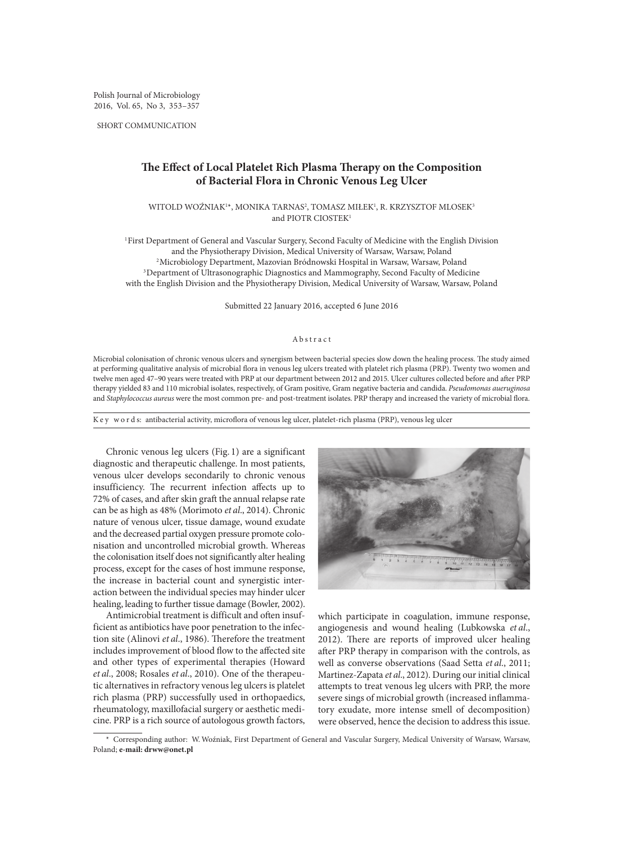Polish Journal of Microbiology 2016, Vol. 65, No 3, 353–357

SHORT COMMUNICATION

## **The Effect of Local Platelet Rich Plasma Therapy on the Composition of Bacterial Flora in Chronic Venous Leg Ulcer**

WITOLD WOŻNIAK<sup>1</sup>\*, MONIKA TARNAS<sup>2</sup>, TOMASZ MIŁEK<sup>1</sup>, R. KRZYSZTOF MLOSEK<sup>3</sup> and PIOTR CIOSTEK<sup>1</sup>

1First Department of General and Vascular Surgery, Second Faculty of Medicine with the English Division and the Physiotherapy Division, Medical University of Warsaw, Warsaw, Poland 2Microbiology Department, Mazovian Bródnowski Hospital in Warsaw, Warsaw, Poland <sup>3</sup>Department of Ultrasonographic Diagnostics and Mammography, Second Faculty of Medicine with the English Division and the Physiotherapy Division, Medical University of Warsaw, Warsaw, Poland

Submitted 22 January 2016, accepted 6 June 2016

## Abstract

Microbial colonisation of chronic venous ulcers and synergism between bacterial species slow down the healing process. The study aimed at performing qualitative analysis of microbial flora in venous leg ulcers treated with platelet rich plasma (PRP). Twenty two women and twelve men aged 47–90 years were treated with PRP at our department between 2012 and 2015. Ulcer cultures collected before and after PRP therapy yielded 83 and 110 microbial isolates, respectively, of Gram positive, Gram negative bacteria and candida. *Pseudomonas aueruginosa* and *Staphylococcus aureus* were the most common pre- and post-treatment isolates. PRP therapy and increased the variety of microbial flora.

K e y w o r d s: antibacterial activity, microflora of venous leg ulcer, platelet-rich plasma (PRP), venous leg ulcer

Chronic venous leg ulcers (Fig. 1) are a significant diagnostic and therapeutic challenge. In most patients, venous ulcer develops secondarily to chronic venous insufficiency. The recurrent infection affects up to 72% of cases, and after skin graft the annual relapse rate can be as high as 48% (Morimoto *et al*., 2014). Chronic nature of venous ulcer, tissue damage, wound exudate and the decreased partial oxygen pressure promote colonisation and uncontrolled microbial growth. Whereas the colonisation itself does not significantly alter healing process, except for the cases of host immune response, the increase in bacterial count and synergistic interaction between the individual species may hinder ulcer healing, leading to further tissue damage (Bowler, 2002).

Antimicrobial treatment is difficult and often insufficient as antibiotics have poor penetration to the infection site (Alinovi *et al*., 1986). Therefore the treatment includes improvement of blood flow to the affected site and other types of experimental therapies (Howard *et al*., 2008; Rosales *et al*., 2010). One of the therapeutic alternatives in refractory venous leg ulcers is platelet rich plasma (PRP) successfully used in orthopaedics, rheumatology, maxillofacial surgery or aesthetic medicine. PRP is a rich source of autologous growth factors,



which participate in coagulation, immune response, angiogenesis and wound healing (Lubkowska *et al*., 2012). There are reports of improved ulcer healing after PRP therapy in comparison with the controls, as well as converse observations (Saad Setta *et al*., 2011; Martinez-Zapata *et al*., 2012). During our initial clinical attempts to treat venous leg ulcers with PRP, the more severe sings of microbial growth (increased inflammatory exudate, more intense smell of decomposition) were observed, hence the decision to address this issue.

\* Corresponding author: W. Woźniak, First Department of General and Vascular Surgery, Medical University of Warsaw, Warsaw, Poland; **e-mail: drww@onet.pl**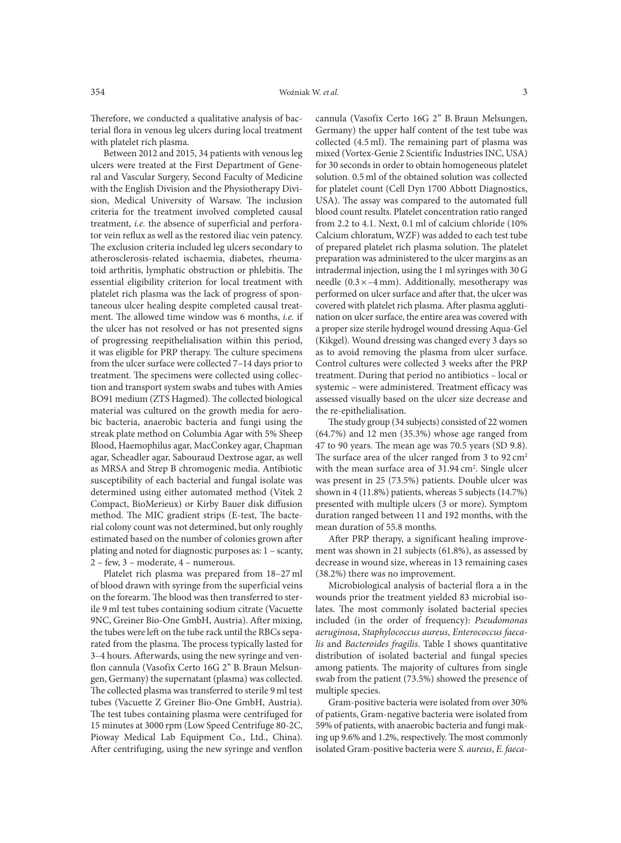terial flora in venous leg ulcers during local treatment

with platelet rich plasma. Between 2012 and 2015, 34 patients with venous leg ulcers were treated at the First Department of General and Vascular Surgery, Second Faculty of Medicine with the English Division and the Physiotherapy Division, Medical University of Warsaw. The inclusion criteria for the treatment involved completed causal treatment, *i.e.* the absence of superficial and perforator vein reflux as well as the restored iliac vein patency. The exclusion criteria included leg ulcers secondary to atherosclerosis-related ischaemia, diabetes, rheumatoid arthritis, lymphatic obstruction or phlebitis. The essential eligibility criterion for local treatment with platelet rich plasma was the lack of progress of spontaneous ulcer healing despite completed causal treatment. The allowed time window was 6 months, *i.e.* if the ulcer has not resolved or has not presented signs of progressing reepithelialisation within this period, it was eligible for PRP therapy. The culture specimens from the ulcer surface were collected 7–14 days prior to treatment. The specimens were collected using collection and transport system swabs and tubes with Amies BO91 medium (ZTS Hagmed). The collected biological material was cultured on the growth media for aerobic bacteria, anaerobic bacteria and fungi using the streak plate method on Columbia Agar with 5% Sheep Blood, Haemophilus agar, MacConkey agar, Chapman agar, Scheadler agar, Sabouraud Dextrose agar, as well as MRSA and Strep B chromogenic media. Antibiotic susceptibility of each bacterial and fungal isolate was determined using either automated method (Vitek 2 Compact, BioMerieux) or Kirby Bauer disk diffusion method. The MIC gradient strips (E-test, The bacterial colony count was not determined, but only roughly estimated based on the number of colonies grown after plating and noted for diagnostic purposes as: 1 – scanty, 2 – few, 3 – moderate, 4 – numerous.

Platelet rich plasma was prepared from 18–27 ml of blood drawn with syringe from the superficial veins on the forearm. The blood was then transferred to sterile 9 ml test tubes containing sodium citrate (Vacuette 9NC, Greiner Bio-One GmbH, Austria). After mixing, the tubes were left on the tube rack until the RBCs separated from the plasma. The process typically lasted for 3–4 hours. Afterwards, using the new syringe and venflon cannula (Vasofix Certo 16G 2" B. Braun Melsungen, Germany) the supernatant (plasma) was collected. The collected plasma was transferred to sterile 9 ml test tubes (Vacuette Z Greiner Bio-One GmbH, Austria). The test tubes containing plasma were centrifuged for 15 minutes at 3000 rpm (Low Speed Centrifuge 80-2C, Pioway Medical Lab Equipment Co., Ltd., China). After centrifuging, using the new syringe and venflon cannula (Vasofix Certo 16G 2" B. Braun Melsungen, Germany) the upper half content of the test tube was collected (4.5 ml). The remaining part of plasma was mixed (Vortex-Genie 2 Scientific Industries INC, USA) for 30 seconds in order to obtain homogeneous platelet solution. 0.5 ml of the obtained solution was collected for platelet count (Cell Dyn 1700 Abbott Diagnostics, USA). The assay was compared to the automated full blood count results. Platelet concentration ratio ranged from 2.2 to 4.1. Next, 0.1 ml of calcium chloride (10% Calcium chloratum, WZF) was added to each test tube of prepared platelet rich plasma solution. The platelet preparation was administered to the ulcer margins as an intradermal injection, using the 1 ml syringes with 30 G needle  $(0.3 \times -4$  mm). Additionally, mesotherapy was performed on ulcer surface and after that, the ulcer was covered with platelet rich plasma. After plasma agglutination on ulcer surface, the entire area was covered with a proper size sterile hydrogel wound dressing Aqua-Gel (Kikgel). Wound dressing was changed every 3 days so as to avoid removing the plasma from ulcer surface. Control cultures were collected 3 weeks after the PRP treatment. During that period no antibiotics – local or systemic – were administered. Treatment efficacy was assessed visually based on the ulcer size decrease and the re-epithelialisation.

The study group (34 subjects) consisted of 22 women (64.7%) and 12 men (35.3%) whose age ranged from 47 to 90 years. The mean age was 70.5 years (SD 9.8). The surface area of the ulcer ranged from 3 to  $92 \text{ cm}^2$ with the mean surface area of  $31.94 \text{ cm}^2$ . Single ulcer was present in 25 (73.5%) patients. Double ulcer was shown in 4 (11.8%) patients, whereas 5 subjects (14.7%) presented with multiple ulcers (3 or more). Symptom duration ranged between 11 and 192 months, with the mean duration of 55.8 months.

After PRP therapy, a significant healing improvement was shown in 21 subjects (61.8%), as assessed by decrease in wound size, whereas in 13 remaining cases (38.2%) there was no improvement.

Microbiological analysis of bacterial flora a in the wounds prior the treatment yielded 83 microbial isolates. The most commonly isolated bacterial species included (in the order of frequency): *Pseudomonas aeruginosa*, *Staphylococcus aureus*, *Enterococcus faecalis* and *Bacteroides fragilis*. Table I shows quantitative distribution of isolated bacterial and fungal species among patients. The majority of cultures from single swab from the patient (73.5%) showed the presence of multiple species.

Gram-positive bacteria were isolated from over 30% of patients, Gram-negative bacteria were isolated from 59% of patients, with anaerobic bacteria and fungi making up 9.6% and 1.2%, respectively. The most commonly isolated Gram-positive bacteria were *S. aureus*, *E. faeca*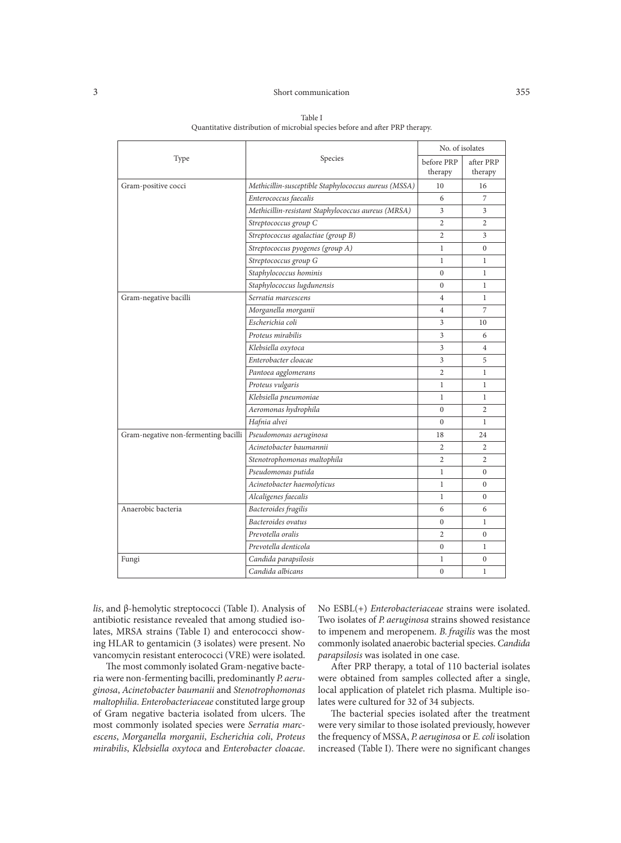## 3 Short communication 355

|                                      | Species                                              | No. of isolates       |                      |
|--------------------------------------|------------------------------------------------------|-----------------------|----------------------|
| Type                                 |                                                      | before PRP<br>therapy | after PRP<br>therapy |
| Gram-positive cocci                  | Methicillin-susceptible Staphylococcus aureus (MSSA) | 10                    | 16                   |
|                                      | Enterococcus faecalis                                | 6                     | 7                    |
|                                      | Methicillin-resistant Staphylococcus aureus (MRSA)   | 3                     | 3                    |
|                                      | Streptococcus group C                                | $\mathfrak{2}$        | $\overline{2}$       |
|                                      | Streptococcus agalactiae (group B)                   | $\mathfrak{2}$        | 3                    |
|                                      | Streptococcus pyogenes (group A)                     | $\mathbf{1}$          | $\overline{0}$       |
|                                      | Streptococcus group G                                | $\mathbf{1}$          | $\mathbf{1}$         |
|                                      | Staphylococcus hominis                               | $\mathbf{0}$          | $\mathbf{1}$         |
|                                      | Staphylococcus lugdunensis                           | $\mathbf{0}$          | $\mathbf{1}$         |
| Gram-negative bacilli                | Serratia marcescens                                  | $\overline{4}$        | $\mathbf{1}$         |
|                                      | Morganella morganii                                  | 4                     | 7                    |
|                                      | Escherichia coli                                     | 3                     | 10                   |
|                                      | Proteus mirabilis                                    | 3                     | 6                    |
|                                      | Klebsiella oxytoca                                   | 3                     | $\overline{4}$       |
|                                      | Enterobacter cloacae                                 | 3                     | 5                    |
|                                      | Pantoea agglomerans                                  | 2                     | $\mathbf{1}$         |
|                                      | Proteus vulgaris                                     | $\mathbf{1}$          | $\mathbf{1}$         |
|                                      | Klebsiella pneumoniae                                | $\mathbf{1}$          | $\mathbf{1}$         |
|                                      | Aeromonas hydrophila                                 | $\mathbf{0}$          | $\overline{2}$       |
|                                      | Hafnia alvei                                         | $\theta$              | $\mathbf{1}$         |
| Gram-negative non-fermenting bacilli | Pseudomonas aeruginosa                               | 18                    | 24                   |
|                                      | Acinetobacter baumannii                              | $\overline{2}$        | $\overline{2}$       |
|                                      | Stenotrophomonas maltophila                          | $\overline{2}$        | $\overline{2}$       |
|                                      | Pseudomonas putida                                   | $\mathbf{1}$          | $\overline{0}$       |
|                                      | Acinetobacter haemolyticus                           | $\mathbf{1}$          | $\Omega$             |
|                                      | Alcaligenes faecalis                                 | 1                     | $\boldsymbol{0}$     |
| Anaerobic bacteria                   | Bacteroides fragilis                                 | 6                     | 6                    |
|                                      | Bacteroides ovatus                                   | $\overline{0}$        | $\mathbf{1}$         |
|                                      | Prevotella oralis                                    | $\overline{2}$        | $\overline{0}$       |
|                                      | Prevotella denticola                                 | $\boldsymbol{0}$      | $\mathbf{1}$         |
| Fungi                                | Candida parapsilosis                                 | 1                     | $\overline{0}$       |
|                                      | Candida albicans                                     | $\mathbf{0}$          | $\mathbf{1}$         |

Table I Quantitative distribution of microbial species before and after PRP therapy.

*lis*, and β-hemolytic streptococci (Table I). Analysis of antibiotic resistance revealed that among studied isolates, MRSA strains (Table I) and enterococci showing HLAR to gentamicin (3 isolates) were present. No vancomycin resistant enterococci (VRE) were isolated.

The most commonly isolated Gram-negative bacteria were non-fermenting bacilli, predominantly *P. aeruginosa*, *Acinetobacter baumanii* and *Stenotrophomonas maltophilia*. *Enterobacteriaceae* constituted large group of Gram negative bacteria isolated from ulcers. The most commonly isolated species were *Serratia marcescens*, *Morganella morganii*, *Escherichia coli*, *Proteus mirabilis*, *Klebsiella oxytoca* and *Enterobacter cloacae*.

No ESBL(+) *Enterobacteriaceae* strains were isolated. Two isolates of *P. aeruginosa* strains showed resistance to impenem and meropenem. *B. fragilis* was the most commonly isolated anaerobic bacterial species. *Candida parapsilosis* was isolated in one case.

After PRP therapy, a total of 110 bacterial isolates were obtained from samples collected after a single, local application of platelet rich plasma. Multiple isolates were cultured for 32 of 34 subjects.

The bacterial species isolated after the treatment were very similar to those isolated previously, however the frequency of MSSA, *P. aeruginosa* or *E.coli* isolation increased (Table I). There were no significant changes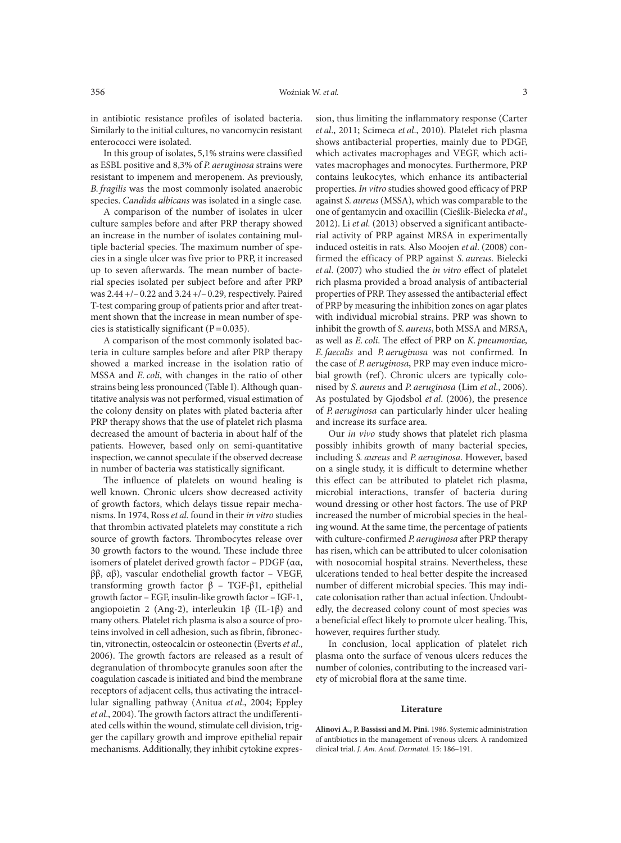in antibiotic resistance profiles of isolated bacteria. Similarly to the initial cultures, no vancomycin resistant enterococci were isolated.

In this group of isolates, 5,1% strains were classified as ESBL positive and 8,3% of *P. aeruginosa* strains were resistant to impenem and meropenem. As previously, *B. fragilis* was the most commonly isolated anaerobic species. *Candida albicans* was isolated in a single case.

A comparison of the number of isolates in ulcer culture samples before and after PRP therapy showed an increase in the number of isolates containing multiple bacterial species. The maximum number of species in a single ulcer was five prior to PRP, it increased up to seven afterwards. The mean number of bacterial species isolated per subject before and after PRP was 2.44+/–0.22 and 3.24+/–0.29, respectively. Paired T-test comparing group of patients prior and after treatment shown that the increase in mean number of species is statistically significant  $(P=0.035)$ .

A comparison of the most commonly isolated bacteria in culture samples before and after PRP therapy showed a marked increase in the isolation ratio of MSSA and *E.coli*, with changes in the ratio of other strains being less pronounced (Table I). Although quantitative analysis was not performed, visual estimation of the colony density on plates with plated bacteria after PRP therapy shows that the use of platelet rich plasma decreased the amount of bacteria in about half of the patients. However, based only on semi-quantitative inspection, we cannot speculate if the observed decrease in number of bacteria was statistically significant.

The influence of platelets on wound healing is well known. Chronic ulcers show decreased activity of growth factors, which delays tissue repair mechanisms. In 1974, Ross *et al*. found in their *in vitro* studies that thrombin activated platelets may constitute a rich source of growth factors. Thrombocytes release over 30 growth factors to the wound. These include three isomers of platelet derived growth factor – PDGF (αα, ββ, αβ), vascular endothelial growth factor – VEGF, transforming growth factor β – TGF-β1, epithelial growth factor – EGF, insulin-like growth factor – IGF-1, angiopoietin 2 (Ang-2), interleukin 1β (IL-1β) and many others. Platelet rich plasma is also a source of proteins involved in cell adhesion, such as fibrin, fibronectin, vitronectin, osteocalcin or osteonectin (Everts *et al*., 2006). The growth factors are released as a result of degranulation of thrombocyte granules soon after the coagulation cascade is initiated and bind the membrane receptors of adjacent cells, thus activating the intracellular signalling pathway (Anitua *et al*., 2004; Eppley *et al*., 2004). The growth factors attract the undifferentiated cells within the wound, stimulate cell division, trigger the capillary growth and improve epithelial repair mechanisms. Additionally, they inhibit cytokine expression, thus limiting the inflammatory response (Carter *et al*., 2011; Scimeca *et al*., 2010). Platelet rich plasma shows antibacterial properties, mainly due to PDGF, which activates macrophages and VEGF, which activates macrophages and monocytes. Furthermore, PRP contains leukocytes, which enhance its antibacterial properties. *In vitro* studies showed good efficacy of PRP against *S. aureus* (MSSA), which was comparable to the one of gentamycin and oxacillin (Cieślik-Bielecka *et al*., 2012). Li *et al.* (2013) observed a significant antibacterial activity of PRP against MRSA in experimentally induced osteitis in rats. Also Moojen *et al*. (2008) confirmed the efficacy of PRP against *S. aureus*. Bielecki *et al*. (2007) who studied the *in vitro* effect of platelet rich plasma provided a broad analysis of antibacterial properties of PRP. They assessed the antibacterial effect of PRP by measuring the inhibition zones on agar plates with individual microbial strains. PRP was shown to inhibit the growth of *S. aureus*, both MSSA and MRSA, as well as *E.coli*. The effect of PRP on *K. pneumoniae, E. faecalis* and *P. aeruginosa* was not confirmed. In the case of *P. aeruginosa*, PRP may even induce microbial growth (ref). Chronic ulcers are typically colonised by *S. aureus* and *P. aeruginosa* (Lim *et al*., 2006). As postulated by Gjodsbol *et al*. (2006), the presence of *P. aeruginosa* can particularly hinder ulcer healing and increase its surface area.

Our *in vivo* study shows that platelet rich plasma possibly inhibits growth of many bacterial species, including *S. aureus* and *P. aeruginosa*. However, based on a single study, it is difficult to determine whether this effect can be attributed to platelet rich plasma, microbial interactions, transfer of bacteria during wound dressing or other host factors. The use of PRP increased the number of microbial species in the healing wound. At the same time, the percentage of patients with culture-confirmed *P. aeruginosa* after PRP therapy has risen, which can be attributed to ulcer colonisation with nosocomial hospital strains. Nevertheless, these ulcerations tended to heal better despite the increased number of different microbial species. This may indicate colonisation rather than actual infection. Undoubtedly, the decreased colony count of most species was a beneficial effect likely to promote ulcer healing. This, however, requires further study.

In conclusion, local application of platelet rich plasma onto the surface of venous ulcers reduces the number of colonies, contributing to the increased variety of microbial flora at the same time.

## **Literature**

**Alinovi A., P. Bassissi and M. Pini.** 1986. Systemic administration of antibiotics in the management of venous ulcers. A randomized clinical trial. *J. Am. Acad. Dermatol.* 15: 186–191.